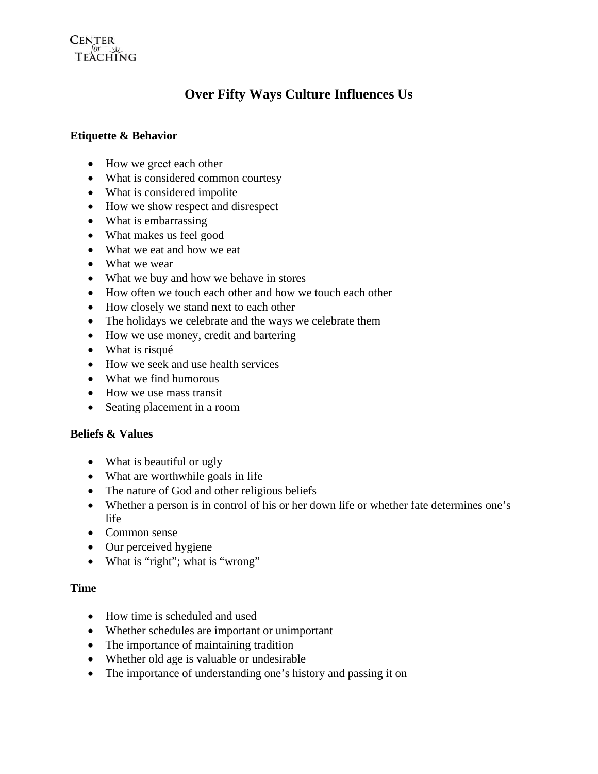# **CENTER**  $TEACHING$

# **Over Fifty Ways Culture Influences Us**

### **Etiquette & Behavior**

- How we greet each other
- What is considered common courtesy
- What is considered impolite
- How we show respect and disrespect
- What is embarrassing
- What makes us feel good
- What we eat and how we eat
- What we wear
- What we buy and how we behave in stores
- How often we touch each other and how we touch each other
- How closely we stand next to each other
- The holidays we celebrate and the ways we celebrate them
- How we use money, credit and bartering
- What is risqué
- How we seek and use health services
- What we find humorous
- How we use mass transit
- Seating placement in a room

### **Beliefs & Values**

- What is beautiful or ugly
- What are worthwhile goals in life
- The nature of God and other religious beliefs
- Whether a person is in control of his or her down life or whether fate determines one's life
- Common sense
- Our perceived hygiene
- What is "right"; what is "wrong"

### **Time**

- How time is scheduled and used
- Whether schedules are important or unimportant
- The importance of maintaining tradition
- Whether old age is valuable or undesirable
- The importance of understanding one's history and passing it on